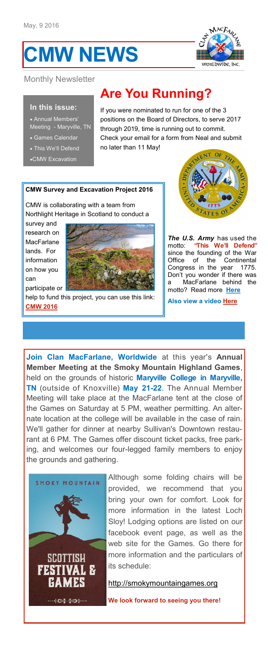# **CMW NEWS**



# Monthly Newsletter

#### **In this issue:**

 Annual Members' Meeting - Maryville, TN

- Games Calendar
- This We'll Defend
- CMW Excavation

# **Are You Running?**

If you were nominated to run for one of the 3 positions on the Board of Directors, to serve 2017 through 2019, time is running out to commit. Check your email for a form from Neal and submit no later than 11 May!

#### **CMW Survey and Excavation Project 2016**

CMW is collaborating with a team from Northlight Heritage in Scotland to conduct a

survey and research on **MacFarlane** lands. For information on how you can participate or



help to fund this project, you can use this link: **[CMW 2016](http://clanmacfarlane.org/public_html/Archaeology/clan-macfarlane-survey-and-excavation-project-2016.html)** 



*The U.S. Army* has used the motto: **"This We'll Defend"**  since the founding of the War Office of the Continental Congress in the year 1775. Don't you wonder if there was a MacFarlane behind the motto? Read more **[Here](http://armylive.dodlive.mil/index.php/2012/07/independence-day-2012/)**

**Also view a video [Here](https://www.youtube.com/watch?v=r6eaoMo7THo)**

**Join Clan MacFarlane, Worldwide** at this year's **Annual Member Meeting at the Smoky Mountain Highland Games**, held on the grounds of historic **Maryville College in Maryville, TN** (outside of Knoxville) **May 21-22**. The Annual Member Meeting will take place at the MacFarlane tent at the close of the Games on Saturday at 5 PM, weather permitting. An alternate location at the college will be available in the case of rain. We'll gather for dinner at nearby Sullivan's Downtown restaurant at 6 PM. The Games offer discount ticket packs, free parking, and welcomes our four-legged family members to enjoy the grounds and gathering.



Although some folding chairs will be provided, we recommend that you bring your own for comfort. Look for more information in the latest Loch Sloy! Lodging options are listed on our facebook event page, as well as the web site for the Games. Go there for more information and the particulars of its schedule:

[http://smokymountaingames.org](http://www.smokymountaingames.org/) 

**We look forward to seeing you there!**